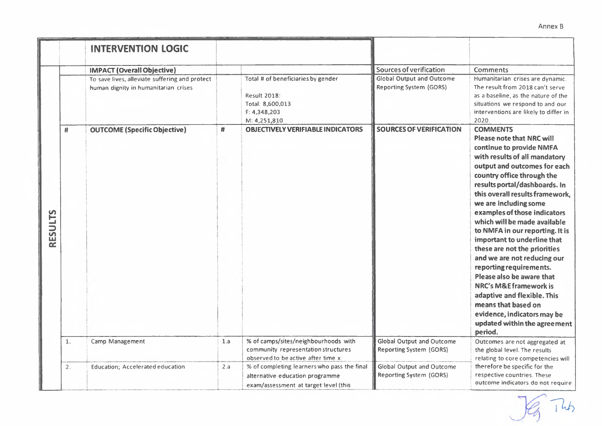|                |    | <b>INTERVENTION LOGIC</b>                                                                                                                                          |     |                                                                                                                                                           |                                                                                                                                 |                                                                                                                                                                                                                                                                                                                                                                                                                                                                                                                                                                                                                                                                                                                                                                                                                                                        |
|----------------|----|--------------------------------------------------------------------------------------------------------------------------------------------------------------------|-----|-----------------------------------------------------------------------------------------------------------------------------------------------------------|---------------------------------------------------------------------------------------------------------------------------------|--------------------------------------------------------------------------------------------------------------------------------------------------------------------------------------------------------------------------------------------------------------------------------------------------------------------------------------------------------------------------------------------------------------------------------------------------------------------------------------------------------------------------------------------------------------------------------------------------------------------------------------------------------------------------------------------------------------------------------------------------------------------------------------------------------------------------------------------------------|
| <b>RESULTS</b> | #  | <b>IMPACT (Overall Objective)</b><br>To save lives, alleviate suffering and protect<br>human dignity in humanitarian crises<br><b>OUTCOME</b> (Specific Objective) | #   | Total # of beneficiaries by gender<br><b>Result 2018:</b><br>Total: 8,600,013<br>F: 4,348,203<br>M: 4,251,810<br><b>OBJECTIVELY VERIFIABLE INDICATORS</b> | Sources of verification<br><b>Global Output and Outcome</b><br><b>Reporting System (GORS)</b><br><b>SOURCES OF VERIFICATION</b> | <b>Comments</b><br>Humanitarian crises are dynamic.<br>The result from 2018 can't serve<br>as a baseline, as the nature of the<br>situations we respond to and our<br>interventions are likely to differ in<br>2020<br><b>COMMENTS</b><br><b>Please note that NRC will</b><br>continue to provide NMFA<br>with results of all mandatory<br>output and outcomes for each<br>country office through the<br>results portal/dashboards. In<br>this overall results framework.<br>we are including some<br>examples of those indicators<br>which will be made available<br>to NMFA in our reporting. It is<br>important to underline that<br>these are not the priorities<br>and we are not reducing our<br>reporting requirements.<br>Please also be aware that<br><b>NRC's M&amp;E framework is</b><br>adaptive and flexible. This<br>means that based on |
|                |    |                                                                                                                                                                    |     |                                                                                                                                                           |                                                                                                                                 | evidence, indicators may be<br>updated within the agreement<br>period.                                                                                                                                                                                                                                                                                                                                                                                                                                                                                                                                                                                                                                                                                                                                                                                 |
|                | 1. | Camp Management                                                                                                                                                    | 1.a | % of camps/sites/neighbourhoods with<br>community representation structures<br>observed to be active after time x                                         | <b>Global Output and Outcome</b><br><b>Reporting System (GORS)</b>                                                              | Outcomes are not aggregated at<br>the global level. The results<br>relating to core competencies will                                                                                                                                                                                                                                                                                                                                                                                                                                                                                                                                                                                                                                                                                                                                                  |
|                | 2. | <b>Education</b> ; Accelerated education                                                                                                                           | 2.a | % of completing learners who pass the final<br>alternative education programme<br>exam/assessment at target level (this                                   | <b>Global Output and Outcome</b><br><b>Reporting System (GORS)</b>                                                              | therefore be specific for the<br>respective countries. These<br>outcome indicators do not require                                                                                                                                                                                                                                                                                                                                                                                                                                                                                                                                                                                                                                                                                                                                                      |

 $\sqrt{e}$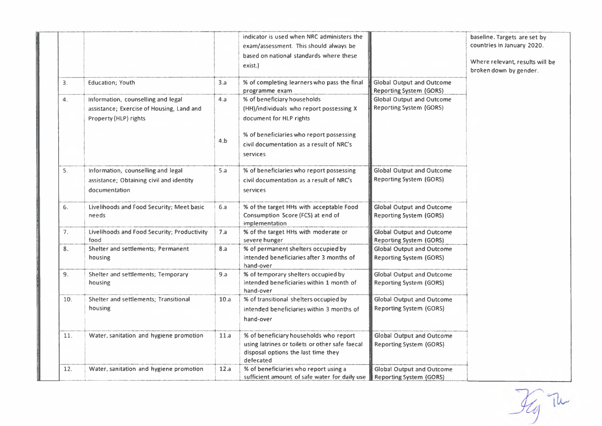|     |                                                                                                          |      | indicator is used when NRC administers the<br>exam/assessment. This should always be<br>based on national standards where these<br>exist.)   |                                                                    | baseline. Targets are set by<br>countries in January 2020.<br>Where relevant, results will be<br>broken down by gender. |
|-----|----------------------------------------------------------------------------------------------------------|------|----------------------------------------------------------------------------------------------------------------------------------------------|--------------------------------------------------------------------|-------------------------------------------------------------------------------------------------------------------------|
| З.  | <b>Education</b> ; Youth                                                                                 | 3.a  | % of completing learners who pass the final<br>programme exam                                                                                | <b>Global Output and Outcome</b><br><b>Reporting System (GORS)</b> |                                                                                                                         |
| 4.  | Information, counselling and legal<br>assistance; Exercise of Housing, Land and<br>Property (HLP) rights | 4.a  | % of beneficiary households<br>(HH)/individuals who report possessing X<br>document for HLP rights                                           | <b>Global Output and Outcome</b><br><b>Reporting System (GORS)</b> |                                                                                                                         |
|     |                                                                                                          | 4.b  | % of beneficiaries who report possessing<br>civil documentation as a result of NRC's<br>services                                             |                                                                    |                                                                                                                         |
| 5.  | Information, counselling and legal<br>assistance; Obtaining civil and identity<br>documentation          | 5.a  | % of beneficiaries who report possessing<br>civil documentation as a result of NRC's<br>services                                             | <b>Global Output and Outcome</b><br><b>Reporting System (GORS)</b> |                                                                                                                         |
| 6.  | Livelihoods and Food Security; Meet basic<br>needs                                                       | 6.a  | % of the target HHs with acceptable Food<br>Consumption Score (FCS) at end of<br>implementation                                              | <b>Global Output and Outcome</b><br><b>Reporting System (GORS)</b> |                                                                                                                         |
| 7.  | Livelihoods and Food Security; Productivity<br>food                                                      | 7.a  | % of the target HHs with moderate or<br>severe hunger                                                                                        | <b>Global Output and Outcome</b><br><b>Reporting System (GORS)</b> |                                                                                                                         |
| 8.  | Shelter and settlements; Permanent<br>housing                                                            | 8.a  | % of permanent shelters occupied by<br>intended beneficiaries after 3 months of<br>hand-over                                                 | <b>Global Output and Outcome</b><br><b>Reporting System (GORS)</b> |                                                                                                                         |
| 9.  | Shelter and settlements; Temporary<br>housing                                                            | 9.a  | % of temporary shelters occupied by<br>intended beneficiaries within 1 month of<br>hand-over                                                 | <b>Global Output and Outcome</b><br><b>Reporting System (GORS)</b> |                                                                                                                         |
| 10. | Shelter and settlements; Transitional<br>housing                                                         | 10.a | % of transitional shelters occupied by<br>intended beneficiaries within 3 months of<br>hand-over                                             | <b>Global Output and Outcome</b><br><b>Reporting System (GORS)</b> |                                                                                                                         |
| 11. | Water, sanitation and hygiene promotion                                                                  | 11.a | % of beneficiary households who report<br>using latrines or toilets or other safe faecal<br>disposal options the last time they<br>defecated | <b>Global Output and Outcome</b><br><b>Reporting System (GORS)</b> |                                                                                                                         |
| 12. | Water, sanitation and hygiene promotion                                                                  | 12.a | % of beneficiaries who report using a<br>sufficient amount of safe water for daily use                                                       | <b>Global Output and Outcome</b><br><b>Reporting System (GORS)</b> |                                                                                                                         |

 $\mathcal{H}_{g}$  Tu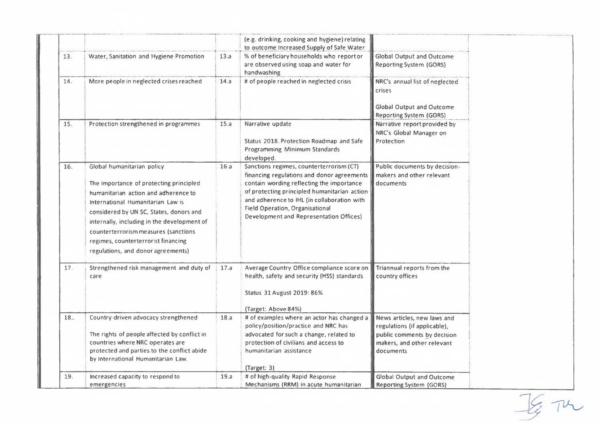|     |                                                                                                                                                                                                                                                                                                                                                                   |      | (e.g. drinking, cooking and hygiene) relating<br>to outcome Increased Supply of Safe Water                                                                                                                                                                                                                                     |                                                                                                                                       |
|-----|-------------------------------------------------------------------------------------------------------------------------------------------------------------------------------------------------------------------------------------------------------------------------------------------------------------------------------------------------------------------|------|--------------------------------------------------------------------------------------------------------------------------------------------------------------------------------------------------------------------------------------------------------------------------------------------------------------------------------|---------------------------------------------------------------------------------------------------------------------------------------|
| 13. | Water, Sanitation and Hygiene Promotion                                                                                                                                                                                                                                                                                                                           | 13.a | % of beneficiary households who report or<br>are observed using soap and water for<br>handwashing                                                                                                                                                                                                                              | <b>Global Output and Outcome</b><br><b>Reporting System (GORS)</b>                                                                    |
| 14. | More people in neglected crises reached                                                                                                                                                                                                                                                                                                                           | 14.a | # of people reached in neglected crisis                                                                                                                                                                                                                                                                                        | NRC's annual list of neglected<br>crises<br><b>Global Output and Outcome</b><br><b>Reporting System (GORS)</b>                        |
| 15. | Protection strengthened in programmes                                                                                                                                                                                                                                                                                                                             | 15.a | Narrative update<br>Status 2018. Protection Roadmap and Safe<br>Programming Minimum Standards<br>developed.                                                                                                                                                                                                                    | Narrative report provided by<br>NRC's Global Manager on<br>Protection                                                                 |
| 16. | Global humanitarian policy<br>The importance of protecting principled<br>humanitarian action and adherence to<br>International Humanitarian Law is<br>considered by UN SC, States, donors and<br>internally, including in the development of<br>counterterrorism measures (sanctions<br>regimes, counterterrorist financing<br>regulations, and donor agreements) | 16.a | Sanctions regimes, counterterrorism (CT)<br>financing regulations and donor agreements<br>contain wording reflecting the importance<br>of protecting principled humanitarian action<br>and adherence to IHL (in collaboration with<br><b>Field Operation, Organisational</b><br><b>Development and Representation Offices)</b> | Public documents by decision-<br>makers and other relevant<br>documents                                                               |
| 17. | Strengthened risk management and duty of<br>care                                                                                                                                                                                                                                                                                                                  | 17.a | Average Country Office compliance score on<br>health, safety and security (HSS) standards<br>Status 31 August 2019: 86%<br>(Target: Above 84%)                                                                                                                                                                                 | Triannual reports from the<br>country offices                                                                                         |
| 18  | Country-driven advocacy strengthened<br>The rights of people affected by conflict in<br>countries where NRC operates are<br>protected and parties to the conflict abide<br>by International Humanitarian Law.                                                                                                                                                     | 18.a | # of examples where an actor has changed a<br>policy/position/practice and NRC has<br>advocated for such a change, related to<br>protection of civilians and access to<br>humanitarian assistance<br>(Target: 3)                                                                                                               | News articles, new laws and<br>regulations (if applicable),<br>public comments by decision<br>makers, and other relevant<br>documents |
| 19. | Increased capacity to respond to<br>emergencies                                                                                                                                                                                                                                                                                                                   | 19.a | # of high-quality Rapid Response<br>Mechanisms (RRM) in acute humanitarian                                                                                                                                                                                                                                                     | <b>Global Output and Outcome</b><br><b>Reporting System (GORS)</b>                                                                    |

 $\frac{1}{2}$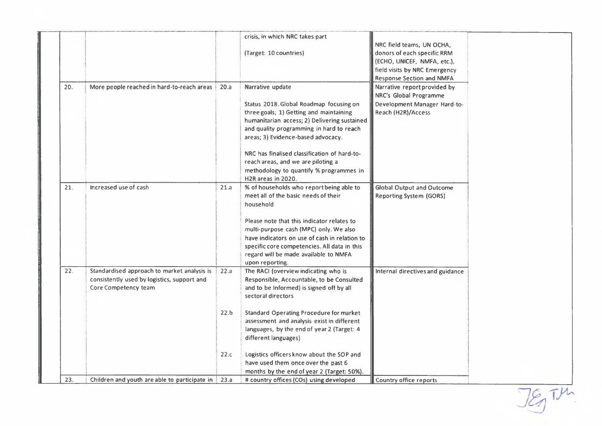|     |                                                                                                                    |      | crisis, in which NRC takes part<br>(Target: 10 countries)                                                                                                                                                                                                                                                                                                                                       | NRC field teams, UN OCHA,<br>donors of each specific RRM<br>(ECHO, UNICEF, NMFA, etc.),<br>field visits by NRC Emergency<br><b>Response Section and NMFA</b> |  |
|-----|--------------------------------------------------------------------------------------------------------------------|------|-------------------------------------------------------------------------------------------------------------------------------------------------------------------------------------------------------------------------------------------------------------------------------------------------------------------------------------------------------------------------------------------------|--------------------------------------------------------------------------------------------------------------------------------------------------------------|--|
| 20. | More people reached in hard-to-reach areas                                                                         | 20.a | Narrative update<br>Status 2018. Global Roadmap focusing on<br>three goals; 1) Getting and maintaining<br>humanitarian access; 2) Delivering sustained<br>and quality programming in hard to reach<br>areas; 3) Evidence-based advocacy.<br>NRC has finalised classification of hard-to-<br>reach areas, and we are piloting a<br>methodology to quantify % programmes in<br>H2R areas in 2020. | Narrative report provided by<br>NRC's Global Programme<br>Development Manager Hard-to-<br>Reach (H2R)/Access                                                 |  |
| 21. | Increased use of cash                                                                                              | 21.a | % of households who report being able to<br>meet all of the basic needs of their<br>household<br>Please note that this indicator relates to<br>multi-purpose cash (MPC) only. We also<br>have indicators on use of cash in relation to<br>specific core competencies. All data in this<br>regard will be made available to NMFA<br>upon reporting.                                              | <b>Global Output and Outcome</b><br><b>Reporting System (GORS)</b>                                                                                           |  |
| 22. | Standardised approach to market analysis is<br>consistently used by logistics, support and<br>Core Competency team | 22.a | The RACI (overview indicating who is<br>Responsible, Accountable, to be Consulted<br>and to be Informed) is signed off by all<br>sectoral directors                                                                                                                                                                                                                                             | Internal directives and guidance                                                                                                                             |  |
|     |                                                                                                                    | 22.b | <b>Standard Operating Procedure for market</b><br>assessment and analysis exist in different<br>languages, by the end of year 2 (Target: 4<br>different languages)                                                                                                                                                                                                                              |                                                                                                                                                              |  |
|     |                                                                                                                    | 22.c | Logistics officers know about the SOP and<br>have used them once over the past 6<br>months by the end of year 2 (Target: 50%).                                                                                                                                                                                                                                                                  |                                                                                                                                                              |  |
| 23. | Children and youth are able to participate in                                                                      | 23.a | # country offices (COs) using developed                                                                                                                                                                                                                                                                                                                                                         | Country office reports                                                                                                                                       |  |

JEJ TM.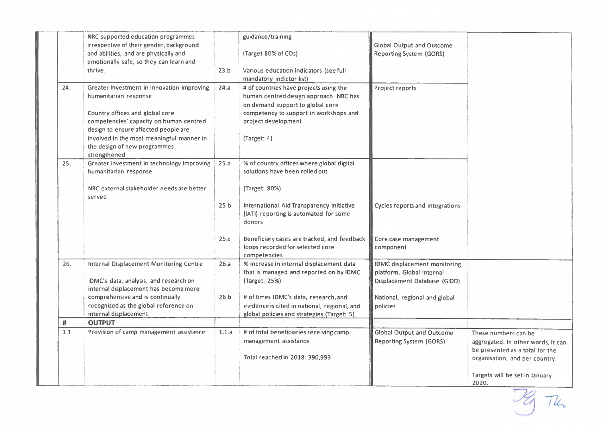|     | NRC supported education programmes<br>irrespective of their gender, background<br>and abilities, and are physically and<br>emotionally safe, so they can learn and<br>thrive.                                                                                                          | 23.b         | guidance/training<br>(Target 80% of COs)<br>Various education indicators (see full<br>mandatory indictor list)                                                                                                                              | <b>Global Output and Outcome</b><br><b>Reporting System (GORS)</b>                                                                             |                                                                                                                                                                            |
|-----|----------------------------------------------------------------------------------------------------------------------------------------------------------------------------------------------------------------------------------------------------------------------------------------|--------------|---------------------------------------------------------------------------------------------------------------------------------------------------------------------------------------------------------------------------------------------|------------------------------------------------------------------------------------------------------------------------------------------------|----------------------------------------------------------------------------------------------------------------------------------------------------------------------------|
| 24. | Greater investment in innovation improving<br>humanitarian response<br>Country offices and global core<br>competencies' capacity on human centred<br>design to ensure affected people are<br>involved in the most meaningful manner in<br>the design of new programmes<br>strengthened | 24.a         | # of countries have projects using the<br>human centred design approach. NRC has<br>on demand support to global core<br>competency to support in workshops and<br>project development<br>(Target: 4)                                        | Project reports                                                                                                                                |                                                                                                                                                                            |
| 25. | Greater investment in technology improving<br>humanitarian response<br>NRC external stakeholder needs are better<br>served                                                                                                                                                             | 25.a<br>25.b | % of country offices where global digital<br>solutions have been rolled out<br>(Target: 80%)<br>International Aid Transparency Initiative<br>(IATI) reporting is automated for some<br>donors                                               | Cycles reports and integrations                                                                                                                |                                                                                                                                                                            |
|     |                                                                                                                                                                                                                                                                                        | 25.c         | Beneficiary cases are tracked, and feedback<br>loops recorded for selected core<br>competencies                                                                                                                                             | Core case management<br>component                                                                                                              |                                                                                                                                                                            |
| 26. | <b>Internal Displacement Monitoring Centre</b><br>IDMC's data, analysis, and research on<br>internal displacement has become more<br>comprehensive and is continually<br>recognised as the global reference on<br>internal displacement                                                | 26.a<br>26.b | % increase in internal displacement data<br>that is managed and reported on by IDMC<br>(Target: 25%)<br># of times IDMC's data, research, and<br>evidence is cited in national, regional, and<br>global policies and strategies (Target: 5) | <b>IDMC</b> displacement monitoring<br>platform, Global Internal<br>Displacement Database (GIDD).<br>National, regional and global<br>policies |                                                                                                                                                                            |
| #   | <b>OUTPUT</b>                                                                                                                                                                                                                                                                          |              |                                                                                                                                                                                                                                             |                                                                                                                                                |                                                                                                                                                                            |
| 1.1 | Provision of camp management assistance                                                                                                                                                                                                                                                | 1.1.a        | # of total beneficiaries receiving camp<br>management assistance<br>Total reached in 2018: 390,993                                                                                                                                          | <b>Global Output and Outcome</b><br><b>Reporting System (GORS)</b>                                                                             | These numbers can be<br>aggregated. In other words, it can<br>be presented as a total for the<br>organisation, and per country.<br>Targets will be set in January<br>2020. |

Ig The